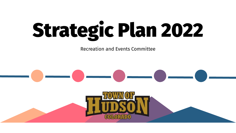# Strategic Plan 2022

Recreation and Events Committee

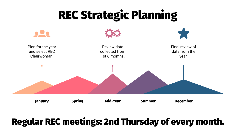## REC Strategic Planning



#### Regular REC meetings: 2nd Thursday of every month.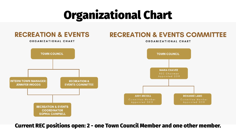## Organizational Chart



Current REC positions open: 2 - one Town Council Member and one other member.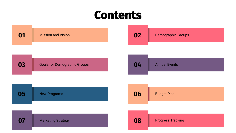#### Contents

| 01 | <b>Mission and Vision</b>           | 02 | <b>Demographic Groups</b> |
|----|-------------------------------------|----|---------------------------|
| 03 | <b>Goals for Demographic Groups</b> | 04 | <b>Annual Events</b>      |
| 05 | <b>New Programs</b>                 | 06 | <b>Budget Plan</b>        |
| 07 | <b>Marketing Strategy</b>           | 08 | <b>Progress Tracking</b>  |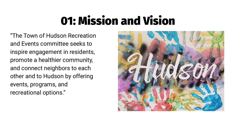## 01: Mission and Vision

"The Town of Hudson Recreation and Events committee seeks to inspire engagement in residents, promote a healthier community, and connect neighbors to each other and to Hudson by offering events, programs, and recreational options."

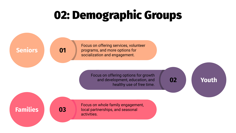## 02: Demographic Groups

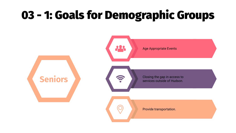### 03 - 1: Goals for Demographic Groups

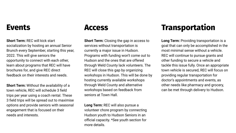#### **Events**

**Short Term:** REC will kick start socialization by hosting an annual Senior Brunch every September, starting this year, 2022. This will give seniors the opportunity to connect with each other, learn about programs that REC will have brochures for, and give REC direct feedback on their interests and needs.

**Short Term:** Without the availability of a town vehicle, REC will schedule 3 field trips per year using a coach rental. These 3 field trips will be spread out to maximise options and provide seniors with seasonal engagement that is focused on their needs and interests.

#### **Access**

**Short Term:** Closing the gap in access to services without transportation is currently a major issue in Hudson. Programs with funding won't come out to Hudson and the ones that are offered through Weld County lack volunteers. The REC will close this gap by organizing workshops in Hudson. This will be done by hosting currently available workshops through Weld County and alternative workshops based on feedback from seniors at Town Hall.

**Long Term:** REC will also pursue a volunteer chore program by connecting Hudson youth to Hudson Seniors in an official capacity. \*See youth section for more details.

#### **Transportation**

**Long Term:** Providing transportation is a goal that can only be accomplished in the most minimal sense without a vehicle. REC will continue to pursue grants and other funding to secure a vehicle and tackle this issue fully. Once an appropriate town vehicle is secured, REC will focus on providing regular transportation for doctor's appointments and events, as other needs like pharmacy and grocery, can be met through delivery to Hudson.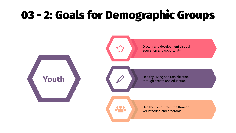## 03 - 2: Goals for Demographic Groups

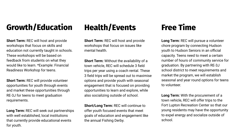#### **Growth/Education**

**Short Term:** REC will host and provide workshops that focus on skills and education not currently taught in schools. These workshops will be based on feedback from students on what they would like to learn. \*Example: Financial Readiness Workshop for teens.

**Short Term:** REC will provide volunteer opportunities for youth through events and market these opportunities through RE-3J for teens to meet graduation requirements.

**Long Term:** REC will seek out partnerships with well established, local institutions that currently provide educational events for youth.

#### **Health/Events**

**Short Term:** REC will host and provide workshops that focus on issues like mental health.

**Short Term:** Without the availability of a town vehicle, REC will schedule 3 field trips per year using a coach rental. These 3 field trips will be spread out to maximise options and provide youth with seasonal engagement that is focused on providing opportunities to learn and explore, while also socializing outside of school.

**Short/Long Term:** REC will continue to offer youth focused events that meet goals of education and engagement like the annual Fishing Derby.

#### **Free Time**

**Long Term:** REC will pursue a volunteer chore program by connecting Hudson youth to Hudson Seniors in an official capacity. Teens need to meet a certain number of hours of community service for graduation. By partnering with RE-3J school district to meet requirements and market the program, we will establish seasonal and year round options for teens to volunteer.

**Long Term:** With the procurement of a town vehicle, REC will offer trips to the Fort Lupton Recreation Center so that our young residents may have the opportunity to expel energy and socialize outside of school.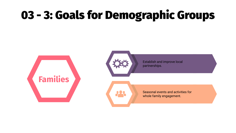## 03 - 3: Goals for Demographic Groups



Establish and improve local partnerships.

Seasonal events and activities for whole family engagement.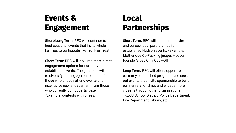#### **Events & Engagement**

**Short/Long Term:** REC will continue to host seasonal events that invite whole families to participate like Trunk or Treat.

**Short Term:** REC will look into more direct engagement options for currently established events. The goal here will be to diversify the engagement options for those who already attend events and incentivise new engagement from those who currently do not participate. \*Example: contests with prizes.

#### **Local Partnerships**

**Short Term:** REC will continue to invite and pursue local partnerships for established Hudson events. \*Example: Motherlode Co-Packing judges Hudson Founder's Day Chili Cook-Off.

**Long Term:** REC will offer support to currently established programs and seek out events that invite sponsorship to build partner relationships and engage more citizens through other organizations. \*RE-3J School District, Police Department, Fire Department, Library, etc.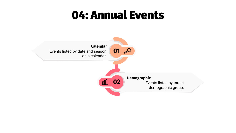#### 04: Annual Events

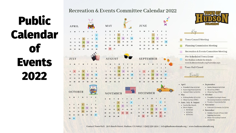## Public Calendar of Events 2022

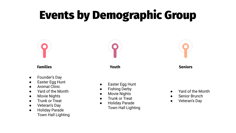## Events by Demographic Group

#### **Families**

- Founder's Day
- Easter Egg Hunt
- Animal Clinic
- Yard of the Month
- Movie Nights
- Trunk or Treat
- Veteran's Day
- Holiday Parade Town Hall Lighting

**Youth**

**Seniors**

- Easter Egg Hunt
- **Fishing Derby**
- Movie Nights
- Trunk or Treat
- **Holiday Parade** Town Hall Lighting
- Yard of the Month
- Senior Brunch
- Veteran's Day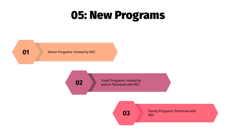#### 05: New Programs

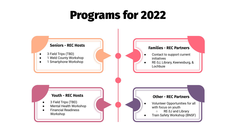#### Programs for 2022

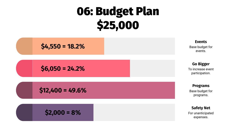## 06: Budget Plan \$25,000



**\$6,050 = 24.2% Go Bigger**

**\$12,400 = 49.6% Programs Programs** 

$$
\text{Safety Net} \quad \text{S2,000} = 8\%
$$

Base budget for events.

To increase event participation.

Base budget for programs.

For unanticipated expenses.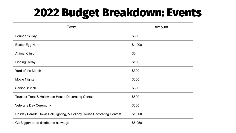## 2022 Budget Breakdown: Events

| Event                                                                  | Amount  |
|------------------------------------------------------------------------|---------|
| Founder's Day                                                          | \$500   |
| Easter Egg Hunt                                                        | \$1,000 |
| <b>Animal Clinic</b>                                                   | \$0     |
| <b>Fishing Derby</b>                                                   | \$150   |
| Yard of the Month                                                      | \$300   |
| Movie Nights                                                           | \$300   |
| Senior Brunch                                                          | \$500   |
| Trunk or Treat & Halloween House Decorating Contest                    | \$500   |
| Veterans Day Ceremony                                                  | \$300   |
| Holiday Parade, Town Hall Lighting, & Holiday House Decorating Contest | \$1,000 |
| Go Bigger: to be distributed as we go                                  | \$6,050 |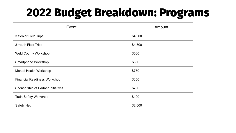### 2022 Budget Breakdown: Programs

| Event                               | Amount  |
|-------------------------------------|---------|
| 3 Senior Field Trips                | \$4,500 |
| 3 Youth Field Trips                 | \$4,500 |
| <b>Weld County Workshop</b>         | \$500   |
| Smartphone Workshop                 | \$500   |
| Mental Health Workshop              | \$750   |
| <b>Financial Readiness Workshop</b> | \$350   |
| Sponsorship of Partner Initiatives  | \$700   |
| Train Safety Workshop               | \$100   |
| Safety Net                          | \$2,000 |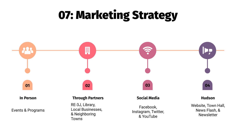## 07: Marketing Strategy

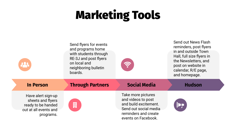## Marketing Tools

| 223                                                                                                 | Send flyers for events<br>and programs home<br>with students through<br>RE-3J and post flyers<br>on local and<br>neighboring bulletin<br>boards. | <b>EC.</b>                                                                                                                                | Send out News Flash<br>reminders, post flyers<br>in and outside Town<br>Hall, full size flyers in<br>the Newsletters, and<br>post on website in<br>calendar, R/E page,<br>and homepage. |
|-----------------------------------------------------------------------------------------------------|--------------------------------------------------------------------------------------------------------------------------------------------------|-------------------------------------------------------------------------------------------------------------------------------------------|-----------------------------------------------------------------------------------------------------------------------------------------------------------------------------------------|
| <b>In Person</b>                                                                                    | <b>Through Partners</b>                                                                                                                          | <b>Social Media</b>                                                                                                                       | <b>Hudson</b>                                                                                                                                                                           |
| Have alert sign-up<br>sheets and flyers<br>ready to be handed<br>out at all events and<br>programs. | 開                                                                                                                                                | Take more pictures<br>and videos to post<br>and build excitement.<br>Send out social media<br>reminders and create<br>events on Facebook. | Þ,                                                                                                                                                                                      |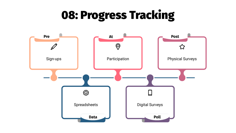### 08: Progress Tracking

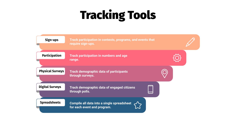## Tracking Tools

| Sign-ups                | Track participation in contests, programs, and events that<br>require sign-ups. |  |
|-------------------------|---------------------------------------------------------------------------------|--|
| <b>Participation</b>    | Track participation in numbers and age<br>range.                                |  |
| <b>Physical Surveys</b> | <b>Track demographic data of participants</b><br>through surveys.               |  |
| <b>Digital Surveys</b>  | <b>Track demographic data of engaged citizens</b><br>through polls.             |  |
| <b>Spreadsheets</b>     | Compile all data into a single spreadsheet<br>for each event and program.       |  |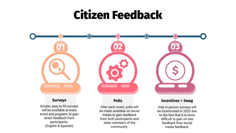#### Citizen Feedback



Simple, easy to fill surveys will be available at every event and program, to gain direct feedback from participants. (English & Spanish)

#### After each event, polls will be made available on social media to gain feedback from both participants and other members of the community.

Only in-person surveys will be incentivised in 2022 due to the fact that it is more difficult to gain on-site feedback than social media feedback.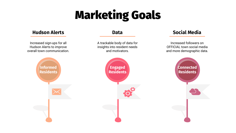## Marketing Goals

#### **Hudson Alerts**

Increased sign-ups for all Hudson Alerts to improve overall town communication.

#### **Data**

A trackable body of data for insights into resident needs and motivators.

#### **Social Media**

Increased followers on OFFICIAL town social media and more demographic data.